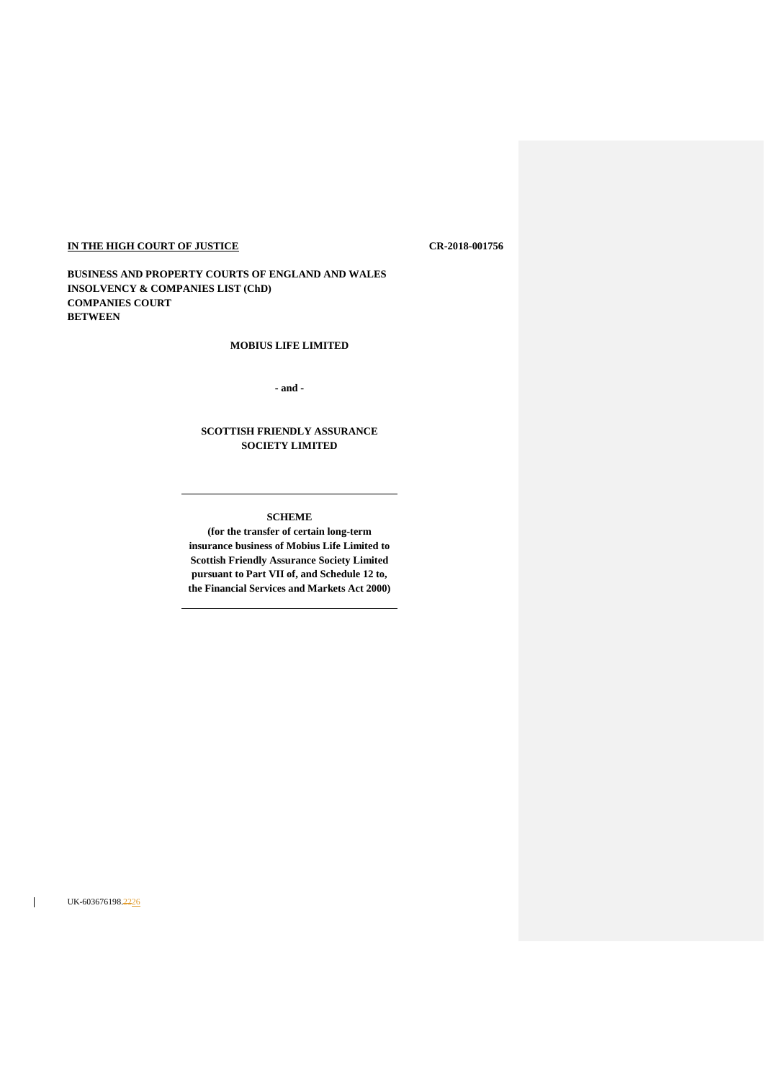# **IN THE HIGH COURT OF JUSTICE CR-2018-001756**

**BUSINESS AND PROPERTY COURTS OF ENGLAND AND WALES INSOLVENCY & COMPANIES LIST (ChD) COMPANIES COURT BETWEEN**

## **MOBIUS LIFE LIMITED**

**- and -**

# **SCOTTISH FRIENDLY ASSURANCE SOCIETY LIMITED**

### **SCHEME**

**(for the transfer of certain long-term insurance business of Mobius Life Limited to Scottish Friendly Assurance Society Limited pursuant to Part VII of, and Schedule 12 to, the Financial Services and Markets Act 2000)**

UK-603676198.2226

 $\mathbf{I}$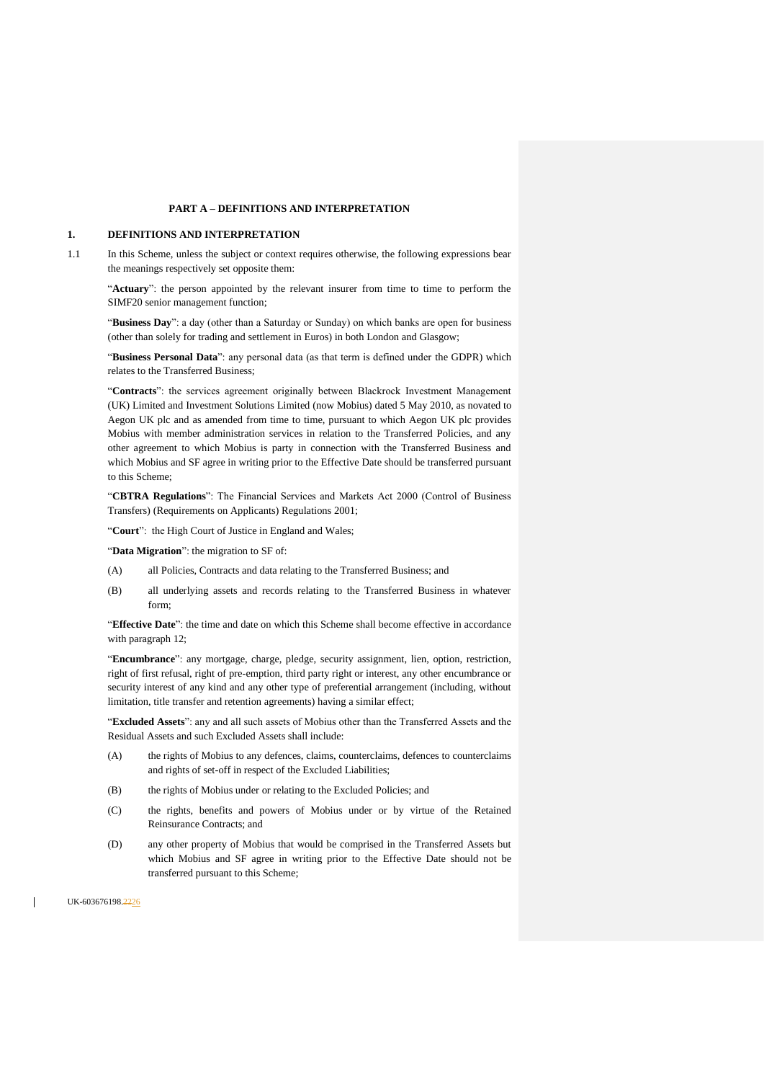### **PART A – DEFINITIONS AND INTERPRETATION**

### **1. DEFINITIONS AND INTERPRETATION**

1.1 In this Scheme, unless the subject or context requires otherwise, the following expressions bear the meanings respectively set opposite them:

"**Actuary**": the person appointed by the relevant insurer from time to time to perform the SIMF20 senior management function;

"**Business Day**": a day (other than a Saturday or Sunday) on which banks are open for business (other than solely for trading and settlement in Euros) in both London and Glasgow;

"**Business Personal Data**": any personal data (as that term is defined under the GDPR) which relates to the Transferred Business;

"**Contracts**": the services agreement originally between Blackrock Investment Management (UK) Limited and Investment Solutions Limited (now Mobius) dated 5 May 2010, as novated to Aegon UK plc and as amended from time to time, pursuant to which Aegon UK plc provides Mobius with member administration services in relation to the Transferred Policies, and any other agreement to which Mobius is party in connection with the Transferred Business and which Mobius and SF agree in writing prior to the Effective Date should be transferred pursuant to this Scheme;

"**CBTRA Regulations**": The Financial Services and Markets Act 2000 (Control of Business Transfers) (Requirements on Applicants) Regulations 2001;

"**Court**": the High Court of Justice in England and Wales;

"Data Migration": the migration to SF of:

- (A) all Policies, Contracts and data relating to the Transferred Business; and
- (B) all underlying assets and records relating to the Transferred Business in whatever form;

"**Effective Date**": the time and date on which this Scheme shall become effective in accordance with paragrap[h 12;](#page-18-0)

"**Encumbrance**": any mortgage, charge, pledge, security assignment, lien, option, restriction, right of first refusal, right of pre-emption, third party right or interest, any other encumbrance or security interest of any kind and any other type of preferential arrangement (including, without limitation, title transfer and retention agreements) having a similar effect;

"**Excluded Assets**": any and all such assets of Mobius other than the Transferred Assets and the Residual Assets and such Excluded Assets shall include:

- (A) the rights of Mobius to any defences, claims, counterclaims, defences to counterclaims and rights of set-off in respect of the Excluded Liabilities;
- (B) the rights of Mobius under or relating to the Excluded Policies; and
- (C) the rights, benefits and powers of Mobius under or by virtue of the Retained Reinsurance Contracts; and
- (D) any other property of Mobius that would be comprised in the Transferred Assets but which Mobius and SF agree in writing prior to the Effective Date should not be transferred pursuant to this Scheme;

UK-603676198.2226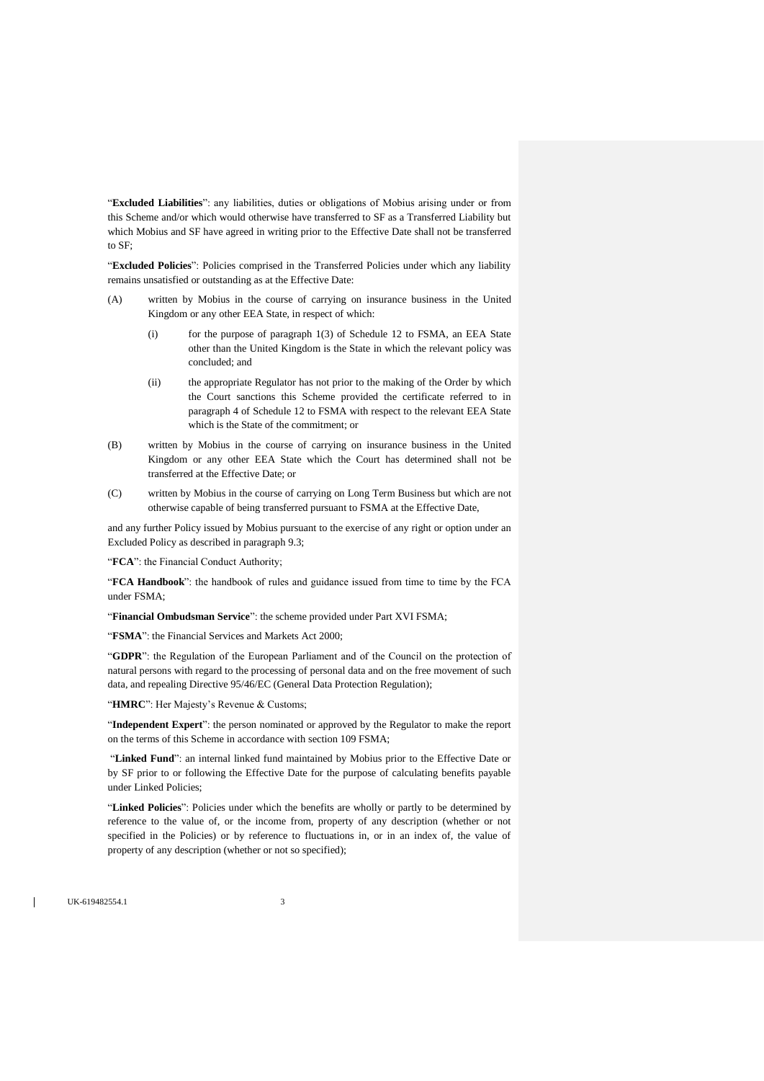"**Excluded Liabilities**": any liabilities, duties or obligations of Mobius arising under or from this Scheme and/or which would otherwise have transferred to SF as a Transferred Liability but which Mobius and SF have agreed in writing prior to the Effective Date shall not be transferred to SF;

"**Excluded Policies**": Policies comprised in the Transferred Policies under which any liability remains unsatisfied or outstanding as at the Effective Date:

- (A) written by Mobius in the course of carrying on insurance business in the United Kingdom or any other EEA State, in respect of which:
	- (i) for the purpose of paragraph 1(3) of Schedule 12 to FSMA, an EEA State other than the United Kingdom is the State in which the relevant policy was concluded; and
	- (ii) the appropriate Regulator has not prior to the making of the Order by which the Court sanctions this Scheme provided the certificate referred to in paragraph 4 of Schedule 12 to FSMA with respect to the relevant EEA State which is the State of the commitment; or
- (B) written by Mobius in the course of carrying on insurance business in the United Kingdom or any other EEA State which the Court has determined shall not be transferred at the Effective Date; or
- (C) written by Mobius in the course of carrying on Long Term Business but which are not otherwise capable of being transferred pursuant to FSMA at the Effective Date,

and any further Policy issued by Mobius pursuant to the exercise of any right or option under an Excluded Policy as described in paragraph [9.3;](#page-16-0)

"**FCA**": the Financial Conduct Authority;

"**FCA Handbook**": the handbook of rules and guidance issued from time to time by the FCA under FSMA;

"**Financial Ombudsman Service**": the scheme provided under Part XVI FSMA;

"FSMA": the Financial Services and Markets Act 2000;

"**GDPR**": the Regulation of the European Parliament and of the Council on the protection of natural persons with regard to the processing of personal data and on the free movement of such data, and repealing Directive 95/46/EC (General Data Protection Regulation);

"HMRC": Her Majesty's Revenue & Customs;

"**Independent Expert**": the person nominated or approved by the Regulator to make the report on the terms of this Scheme in accordance with section 109 FSMA;

"**Linked Fund**": an internal linked fund maintained by Mobius prior to the Effective Date or by SF prior to or following the Effective Date for the purpose of calculating benefits payable under Linked Policies;

"**Linked Policies**": Policies under which the benefits are wholly or partly to be determined by reference to the value of, or the income from, property of any description (whether or not specified in the Policies) or by reference to fluctuations in, or in an index of, the value of property of any description (whether or not so specified);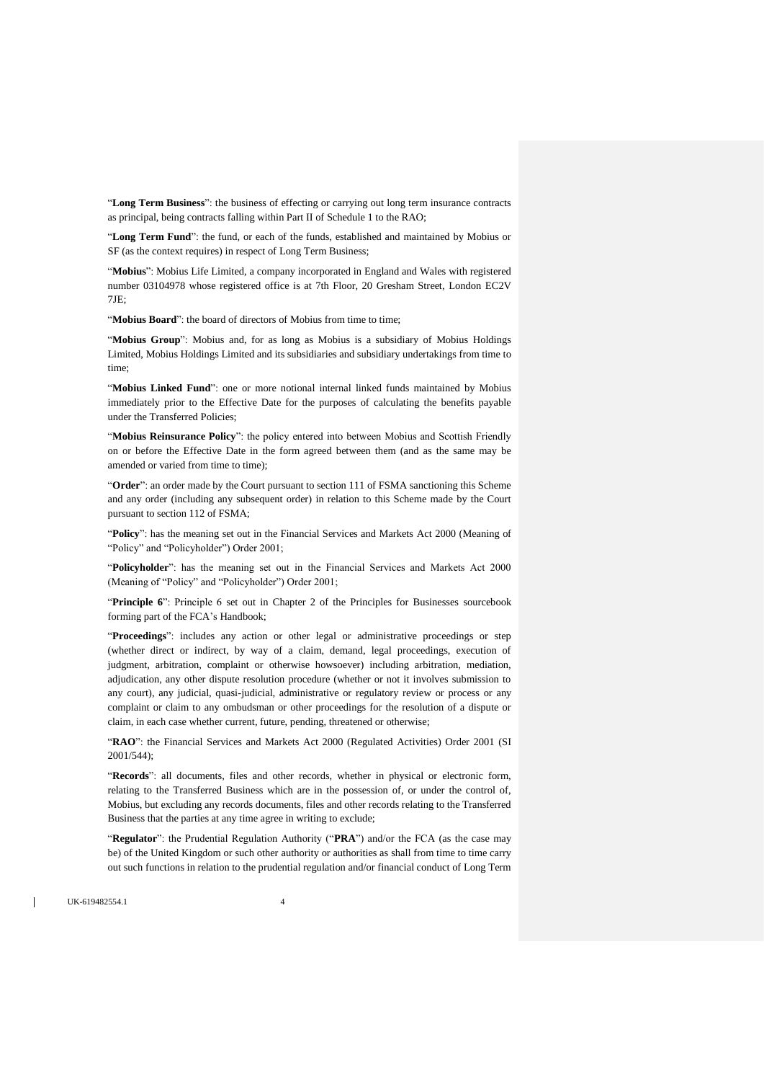"**Long Term Business**": the business of effecting or carrying out long term insurance contracts as principal, being contracts falling within Part II of Schedule 1 to the RAO;

"**Long Term Fund**": the fund, or each of the funds, established and maintained by Mobius or SF (as the context requires) in respect of Long Term Business;

"**Mobius**": Mobius Life Limited, a company incorporated in England and Wales with registered number 03104978 whose registered office is at 7th Floor, 20 Gresham Street, London EC2V 7JE;

"Mobius Board": the board of directors of Mobius from time to time;

"**Mobius Group**": Mobius and, for as long as Mobius is a subsidiary of Mobius Holdings Limited, Mobius Holdings Limited and its subsidiaries and subsidiary undertakings from time to time;

"**Mobius Linked Fund**": one or more notional internal linked funds maintained by Mobius immediately prior to the Effective Date for the purposes of calculating the benefits payable under the Transferred Policies;

"**Mobius Reinsurance Policy**": the policy entered into between Mobius and Scottish Friendly on or before the Effective Date in the form agreed between them (and as the same may be amended or varied from time to time);

"Order": an order made by the Court pursuant to section 111 of FSMA sanctioning this Scheme and any order (including any subsequent order) in relation to this Scheme made by the Court pursuant to section 112 of FSMA;

"**Policy**": has the meaning set out in the Financial Services and Markets Act 2000 (Meaning of "Policy" and "Policyholder") Order 2001;

"**Policyholder**": has the meaning set out in the Financial Services and Markets Act 2000 (Meaning of "Policy" and "Policyholder") Order 2001;

"**Principle 6**": Principle 6 set out in Chapter 2 of the Principles for Businesses sourcebook forming part of the FCA's Handbook;

"**Proceedings**": includes any action or other legal or administrative proceedings or step (whether direct or indirect, by way of a claim, demand, legal proceedings, execution of judgment, arbitration, complaint or otherwise howsoever) including arbitration, mediation, adjudication, any other dispute resolution procedure (whether or not it involves submission to any court), any judicial, quasi-judicial, administrative or regulatory review or process or any complaint or claim to any ombudsman or other proceedings for the resolution of a dispute or claim, in each case whether current, future, pending, threatened or otherwise;

"**RAO**": the Financial Services and Markets Act 2000 (Regulated Activities) Order 2001 (SI 2001/544);

"**Records**": all documents, files and other records, whether in physical or electronic form, relating to the Transferred Business which are in the possession of, or under the control of, Mobius, but excluding any records documents, files and other records relating to the Transferred Business that the parties at any time agree in writing to exclude;

"**Regulator**": the Prudential Regulation Authority ("**PRA**") and/or the FCA (as the case may be) of the United Kingdom or such other authority or authorities as shall from time to time carry out such functions in relation to the prudential regulation and/or financial conduct of Long Term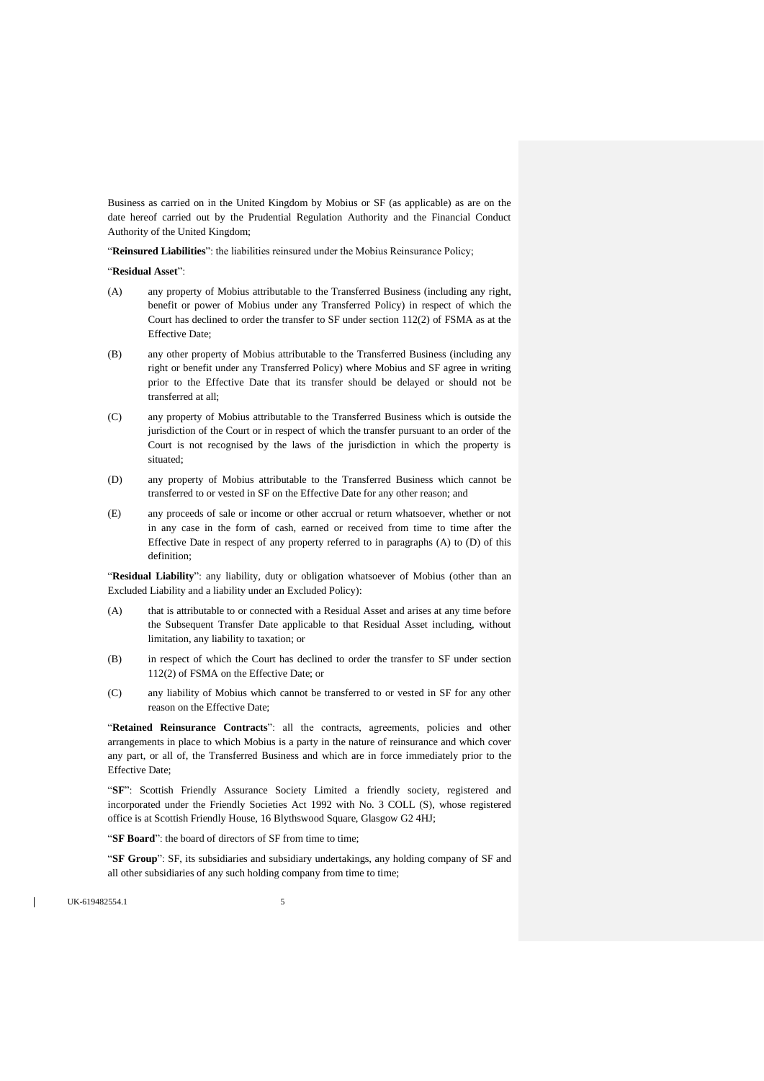Business as carried on in the United Kingdom by Mobius or SF (as applicable) as are on the date hereof carried out by the Prudential Regulation Authority and the Financial Conduct Authority of the United Kingdom;

"**Reinsured Liabilities**": the liabilities reinsured under the Mobius Reinsurance Policy;

#### "**Residual Asset**":

- (A) any property of Mobius attributable to the Transferred Business (including any right, benefit or power of Mobius under any Transferred Policy) in respect of which the Court has declined to order the transfer to SF under section 112(2) of FSMA as at the Effective Date;
- (B) any other property of Mobius attributable to the Transferred Business (including any right or benefit under any Transferred Policy) where Mobius and SF agree in writing prior to the Effective Date that its transfer should be delayed or should not be transferred at all;
- (C) any property of Mobius attributable to the Transferred Business which is outside the jurisdiction of the Court or in respect of which the transfer pursuant to an order of the Court is not recognised by the laws of the jurisdiction in which the property is situated;
- (D) any property of Mobius attributable to the Transferred Business which cannot be transferred to or vested in SF on the Effective Date for any other reason; and
- (E) any proceeds of sale or income or other accrual or return whatsoever, whether or not in any case in the form of cash, earned or received from time to time after the Effective Date in respect of any property referred to in paragraphs (A) to (D) of this definition;

"**Residual Liability**": any liability, duty or obligation whatsoever of Mobius (other than an Excluded Liability and a liability under an Excluded Policy):

- (A) that is attributable to or connected with a Residual Asset and arises at any time before the Subsequent Transfer Date applicable to that Residual Asset including, without limitation, any liability to taxation; or
- <span id="page-4-0"></span>(B) in respect of which the Court has declined to order the transfer to SF under section 112(2) of FSMA on the Effective Date; or
- <span id="page-4-1"></span>(C) any liability of Mobius which cannot be transferred to or vested in SF for any other reason on the Effective Date;

"**Retained Reinsurance Contracts**": all the contracts, agreements, policies and other arrangements in place to which Mobius is a party in the nature of reinsurance and which cover any part, or all of, the Transferred Business and which are in force immediately prior to the Effective Date;

"**SF**": Scottish Friendly Assurance Society Limited a friendly society, registered and incorporated under the Friendly Societies Act 1992 with No. 3 COLL (S), whose registered office is at Scottish Friendly House, 16 Blythswood Square, Glasgow G2 4HJ;

"**SF Board**": the board of directors of SF from time to time;

"**SF Group**": SF, its subsidiaries and subsidiary undertakings, any holding company of SF and all other subsidiaries of any such holding company from time to time;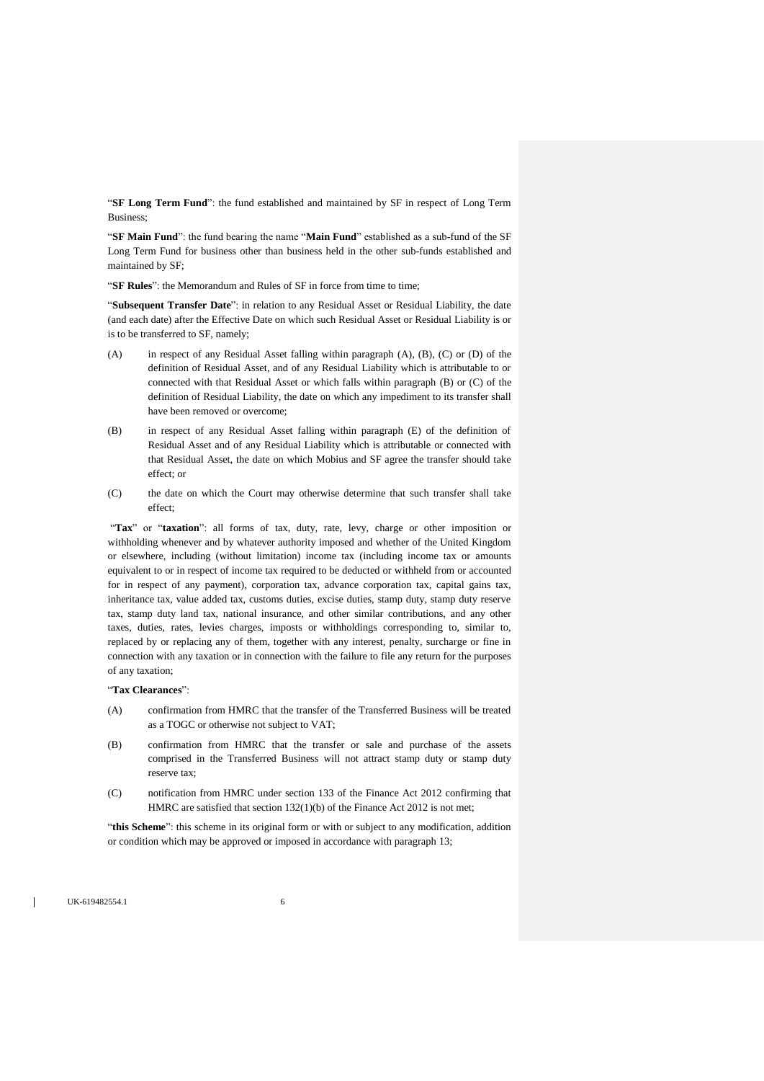"**SF Long Term Fund**": the fund established and maintained by SF in respect of Long Term Business;

"**SF Main Fund**": the fund bearing the name "**Main Fund**" established as a sub-fund of the SF Long Term Fund for business other than business held in the other sub-funds established and maintained by SF;

"**SF Rules**": the Memorandum and Rules of SF in force from time to time;

"**Subsequent Transfer Date**": in relation to any Residual Asset or Residual Liability, the date (and each date) after the Effective Date on which such Residual Asset or Residual Liability is or is to be transferred to SF, namely;

- <span id="page-5-0"></span>(A) in respect of any Residual Asset falling within paragraph [\(A\),](#page-5-0) [\(B\),](#page-5-1) [\(C\)](#page-5-2) or (D) of the definition of Residual Asset, and of any Residual Liability which is attributable to or connected with that Residual Asset or which falls within paragraph [\(B\)](#page-4-0) or [\(C\)](#page-4-1) of the definition of Residual Liability, the date on which any impediment to its transfer shall have been removed or overcome;
- (B) in respect of any Residual Asset falling within paragraph (E) of the definition of Residual Asset and of any Residual Liability which is attributable or connected with that Residual Asset, the date on which Mobius and SF agree the transfer should take effect; or
- <span id="page-5-2"></span><span id="page-5-1"></span>(C) the date on which the Court may otherwise determine that such transfer shall take effect;

"Tax" or "taxation": all forms of tax, duty, rate, levy, charge or other imposition or withholding whenever and by whatever authority imposed and whether of the United Kingdom or elsewhere, including (without limitation) income tax (including income tax or amounts equivalent to or in respect of income tax required to be deducted or withheld from or accounted for in respect of any payment), corporation tax, advance corporation tax, capital gains tax, inheritance tax, value added tax, customs duties, excise duties, stamp duty, stamp duty reserve tax, stamp duty land tax, national insurance, and other similar contributions, and any other taxes, duties, rates, levies charges, imposts or withholdings corresponding to, similar to, replaced by or replacing any of them, together with any interest, penalty, surcharge or fine in connection with any taxation or in connection with the failure to file any return for the purposes of any taxation;

#### "**Tax Clearances**":

- (A) confirmation from HMRC that the transfer of the Transferred Business will be treated as a TOGC or otherwise not subject to VAT;
- (B) confirmation from HMRC that the transfer or sale and purchase of the assets comprised in the Transferred Business will not attract stamp duty or stamp duty reserve tax;
- (C) notification from HMRC under section 133 of the Finance Act 2012 confirming that HMRC are satisfied that section 132(1)(b) of the Finance Act 2012 is not met;

"this Scheme": this scheme in its original form or with or subject to any modification, addition or condition which may be approved or imposed in accordance with paragrap[h 13;](#page-18-1)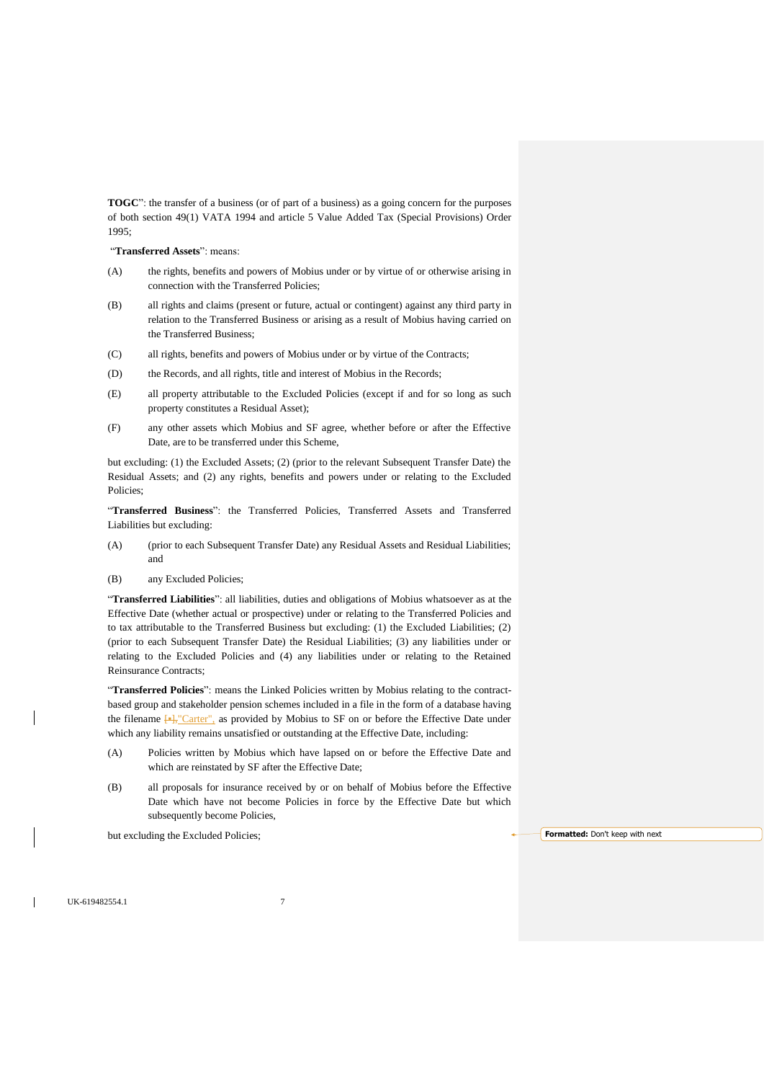**TOGC**": the transfer of a business (or of part of a business) as a going concern for the purposes of both section 49(1) VATA 1994 and article 5 Value Added Tax (Special Provisions) Order 1995;

"**Transferred Assets**": means:

- (A) the rights, benefits and powers of Mobius under or by virtue of or otherwise arising in connection with the Transferred Policies;
- (B) all rights and claims (present or future, actual or contingent) against any third party in relation to the Transferred Business or arising as a result of Mobius having carried on the Transferred Business;
- (C) all rights, benefits and powers of Mobius under or by virtue of the Contracts;
- (D) the Records, and all rights, title and interest of Mobius in the Records;
- (E) all property attributable to the Excluded Policies (except if and for so long as such property constitutes a Residual Asset);
- (F) any other assets which Mobius and SF agree, whether before or after the Effective Date, are to be transferred under this Scheme,

but excluding: (1) the Excluded Assets; (2) (prior to the relevant Subsequent Transfer Date) the Residual Assets; and (2) any rights, benefits and powers under or relating to the Excluded Policies;

"**Transferred Business**": the Transferred Policies, Transferred Assets and Transferred Liabilities but excluding:

- (A) (prior to each Subsequent Transfer Date) any Residual Assets and Residual Liabilities; and
- (B) any Excluded Policies;

"**Transferred Liabilities**": all liabilities, duties and obligations of Mobius whatsoever as at the Effective Date (whether actual or prospective) under or relating to the Transferred Policies and to tax attributable to the Transferred Business but excluding: (1) the Excluded Liabilities; (2) (prior to each Subsequent Transfer Date) the Residual Liabilities; (3) any liabilities under or relating to the Excluded Policies and (4) any liabilities under or relating to the Retained Reinsurance Contracts;

"**Transferred Policies**": means the Linked Policies written by Mobius relating to the contractbased group and stakeholder pension schemes included in a file in the form of a database having the filename  $\left[\frac{1}{2}, \frac{1}{2}\right]$  (Carter", as provided by Mobius to SF on or before the Effective Date under which any liability remains unsatisfied or outstanding at the Effective Date, including:

- (A) Policies written by Mobius which have lapsed on or before the Effective Date and which are reinstated by SF after the Effective Date;
- (B) all proposals for insurance received by or on behalf of Mobius before the Effective Date which have not become Policies in force by the Effective Date but which subsequently become Policies,

but excluding the Excluded Policies; **Formatted:** Don't keep with next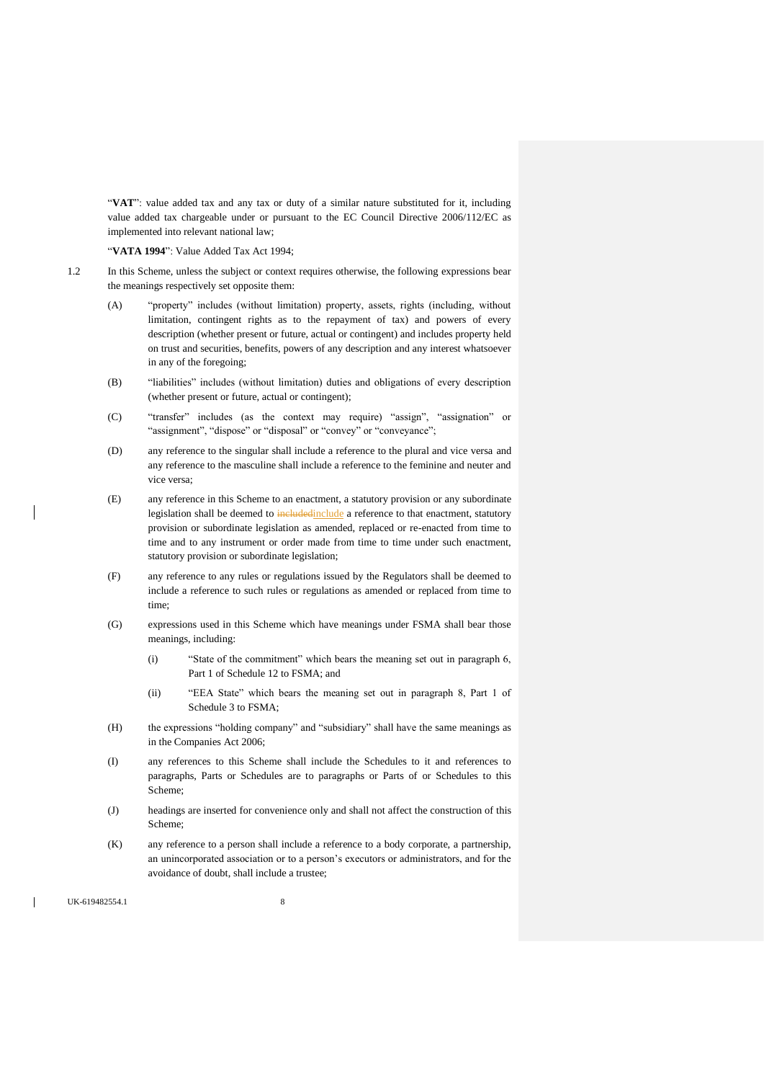"**VAT**": value added tax and any tax or duty of a similar nature substituted for it, including value added tax chargeable under or pursuant to the EC Council Directive 2006/112/EC as implemented into relevant national law;

"**VATA 1994**": Value Added Tax Act 1994;

- 1.2 In this Scheme, unless the subject or context requires otherwise, the following expressions bear the meanings respectively set opposite them:
	- (A) "property" includes (without limitation) property, assets, rights (including, without limitation, contingent rights as to the repayment of tax) and powers of every description (whether present or future, actual or contingent) and includes property held on trust and securities, benefits, powers of any description and any interest whatsoever in any of the foregoing;
	- (B) "liabilities" includes (without limitation) duties and obligations of every description (whether present or future, actual or contingent);
	- (C) "transfer" includes (as the context may require) "assign", "assignation" or "assignment", "dispose" or "disposal" or "convey" or "conveyance";
	- (D) any reference to the singular shall include a reference to the plural and vice versa and any reference to the masculine shall include a reference to the feminine and neuter and vice versa;
	- (E) any reference in this Scheme to an enactment, a statutory provision or any subordinate legislation shall be deemed to includedinclude a reference to that enactment, statutory provision or subordinate legislation as amended, replaced or re-enacted from time to time and to any instrument or order made from time to time under such enactment, statutory provision or subordinate legislation;
	- (F) any reference to any rules or regulations issued by the Regulators shall be deemed to include a reference to such rules or regulations as amended or replaced from time to time;
	- (G) expressions used in this Scheme which have meanings under FSMA shall bear those meanings, including:
		- (i) "State of the commitment" which bears the meaning set out in paragraph 6, Part 1 of Schedule 12 to FSMA; and
		- (ii) "EEA State" which bears the meaning set out in paragraph 8, Part 1 of Schedule 3 to FSMA;
	- (H) the expressions "holding company" and "subsidiary" shall have the same meanings as in the Companies Act 2006;
	- (I) any references to this Scheme shall include the Schedules to it and references to paragraphs, Parts or Schedules are to paragraphs or Parts of or Schedules to this Scheme;
	- (J) headings are inserted for convenience only and shall not affect the construction of this Scheme;
	- (K) any reference to a person shall include a reference to a body corporate, a partnership, an unincorporated association or to a person's executors or administrators, and for the avoidance of doubt, shall include a trustee;

UK-619482554.1 8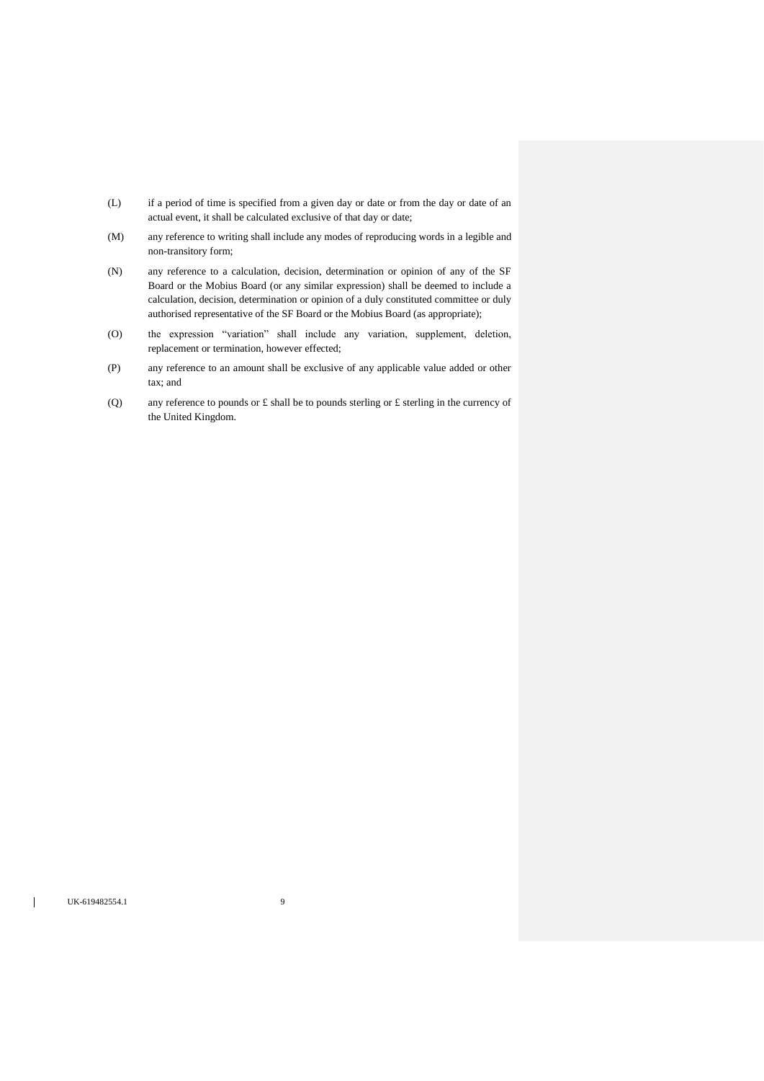- (L) if a period of time is specified from a given day or date or from the day or date of an actual event, it shall be calculated exclusive of that day or date;
- (M) any reference to writing shall include any modes of reproducing words in a legible and non-transitory form;
- (N) any reference to a calculation, decision, determination or opinion of any of the SF Board or the Mobius Board (or any similar expression) shall be deemed to include a calculation, decision, determination or opinion of a duly constituted committee or duly authorised representative of the SF Board or the Mobius Board (as appropriate);
- (O) the expression "variation" shall include any variation, supplement, deletion, replacement or termination, however effected;
- (P) any reference to an amount shall be exclusive of any applicable value added or other tax; and
- (Q) any reference to pounds or  $\pounds$  shall be to pounds sterling or  $\pounds$  sterling in the currency of the United Kingdom.

 $\overline{\phantom{a}}$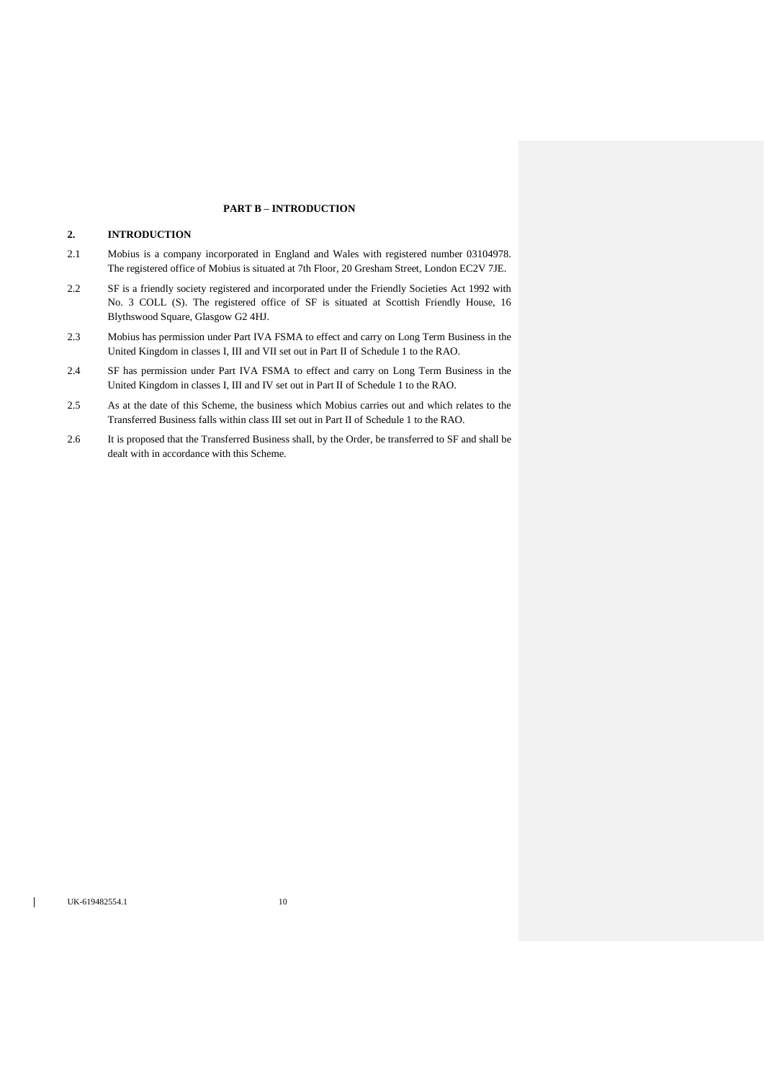## **PART B – INTRODUCTION**

## **2. INTRODUCTION**

- 2.1 Mobius is a company incorporated in England and Wales with registered number 03104978. The registered office of Mobius is situated at 7th Floor, 20 Gresham Street, London EC2V 7JE.
- 2.2 SF is a friendly society registered and incorporated under the Friendly Societies Act 1992 with No. 3 COLL (S). The registered office of SF is situated at Scottish Friendly House, 16 Blythswood Square, Glasgow G2 4HJ.
- 2.3 Mobius has permission under Part IVA FSMA to effect and carry on Long Term Business in the United Kingdom in classes I, III and VII set out in Part II of Schedule 1 to the RAO.
- 2.4 SF has permission under Part IVA FSMA to effect and carry on Long Term Business in the United Kingdom in classes I, III and IV set out in Part II of Schedule 1 to the RAO.
- 2.5 As at the date of this Scheme, the business which Mobius carries out and which relates to the Transferred Business falls within class III set out in Part II of Schedule 1 to the RAO.
- 2.6 It is proposed that the Transferred Business shall, by the Order, be transferred to SF and shall be dealt with in accordance with this Scheme.

 $\mathbf{I}$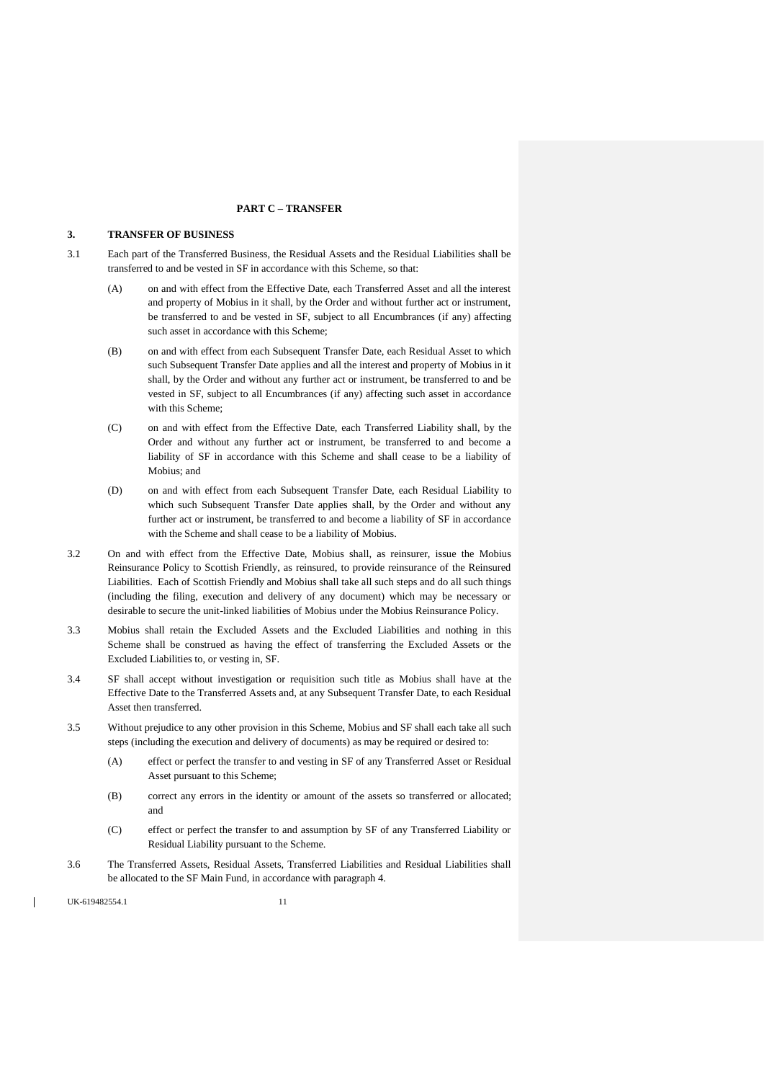### **PART C – TRANSFER**

### **3. TRANSFER OF BUSINESS**

- 3.1 Each part of the Transferred Business, the Residual Assets and the Residual Liabilities shall be transferred to and be vested in SF in accordance with this Scheme, so that:
	- (A) on and with effect from the Effective Date, each Transferred Asset and all the interest and property of Mobius in it shall, by the Order and without further act or instrument, be transferred to and be vested in SF, subject to all Encumbrances (if any) affecting such asset in accordance with this Scheme;
	- (B) on and with effect from each Subsequent Transfer Date, each Residual Asset to which such Subsequent Transfer Date applies and all the interest and property of Mobius in it shall, by the Order and without any further act or instrument, be transferred to and be vested in SF, subject to all Encumbrances (if any) affecting such asset in accordance with this Scheme;
	- (C) on and with effect from the Effective Date, each Transferred Liability shall, by the Order and without any further act or instrument, be transferred to and become a liability of SF in accordance with this Scheme and shall cease to be a liability of Mobius; and
	- (D) on and with effect from each Subsequent Transfer Date, each Residual Liability to which such Subsequent Transfer Date applies shall, by the Order and without any further act or instrument, be transferred to and become a liability of SF in accordance with the Scheme and shall cease to be a liability of Mobius.
- 3.2 On and with effect from the Effective Date, Mobius shall, as reinsurer, issue the Mobius Reinsurance Policy to Scottish Friendly, as reinsured, to provide reinsurance of the Reinsured Liabilities. Each of Scottish Friendly and Mobius shall take all such steps and do all such things (including the filing, execution and delivery of any document) which may be necessary or desirable to secure the unit-linked liabilities of Mobius under the Mobius Reinsurance Policy.
- 3.3 Mobius shall retain the Excluded Assets and the Excluded Liabilities and nothing in this Scheme shall be construed as having the effect of transferring the Excluded Assets or the Excluded Liabilities to, or vesting in, SF.
- 3.4 SF shall accept without investigation or requisition such title as Mobius shall have at the Effective Date to the Transferred Assets and, at any Subsequent Transfer Date, to each Residual Asset then transferred.
- 3.5 Without prejudice to any other provision in this Scheme, Mobius and SF shall each take all such steps (including the execution and delivery of documents) as may be required or desired to:
	- (A) effect or perfect the transfer to and vesting in SF of any Transferred Asset or Residual Asset pursuant to this Scheme;
	- (B) correct any errors in the identity or amount of the assets so transferred or allocated; and
	- (C) effect or perfect the transfer to and assumption by SF of any Transferred Liability or Residual Liability pursuant to the Scheme.
- 3.6 The Transferred Assets, Residual Assets, Transferred Liabilities and Residual Liabilities shall be allocated to the SF Main Fund, in accordance with paragraph [4.](#page-11-0)

UK-619482554.1 11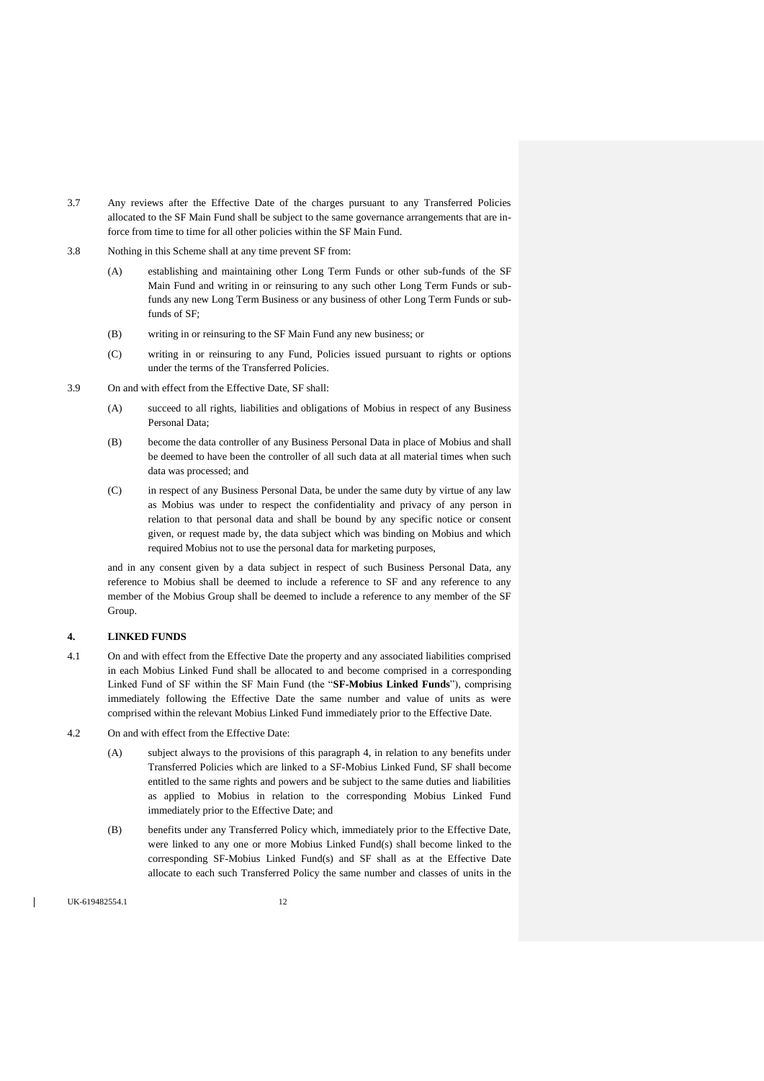- 3.7 Any reviews after the Effective Date of the charges pursuant to any Transferred Policies allocated to the SF Main Fund shall be subject to the same governance arrangements that are inforce from time to time for all other policies within the SF Main Fund.
- 3.8 Nothing in this Scheme shall at any time prevent SF from:
	- (A) establishing and maintaining other Long Term Funds or other sub-funds of the SF Main Fund and writing in or reinsuring to any such other Long Term Funds or subfunds any new Long Term Business or any business of other Long Term Funds or subfunds of SF;
	- (B) writing in or reinsuring to the SF Main Fund any new business; or
	- (C) writing in or reinsuring to any Fund, Policies issued pursuant to rights or options under the terms of the Transferred Policies.
- 3.9 On and with effect from the Effective Date, SF shall:
	- (A) succeed to all rights, liabilities and obligations of Mobius in respect of any Business Personal Data;
	- (B) become the data controller of any Business Personal Data in place of Mobius and shall be deemed to have been the controller of all such data at all material times when such data was processed; and
	- (C) in respect of any Business Personal Data, be under the same duty by virtue of any law as Mobius was under to respect the confidentiality and privacy of any person in relation to that personal data and shall be bound by any specific notice or consent given, or request made by, the data subject which was binding on Mobius and which required Mobius not to use the personal data for marketing purposes,

and in any consent given by a data subject in respect of such Business Personal Data, any reference to Mobius shall be deemed to include a reference to SF and any reference to any member of the Mobius Group shall be deemed to include a reference to any member of the SF Group.

### <span id="page-11-0"></span>**4. LINKED FUNDS**

- 4.1 On and with effect from the Effective Date the property and any associated liabilities comprised in each Mobius Linked Fund shall be allocated to and become comprised in a corresponding Linked Fund of SF within the SF Main Fund (the "**SF-Mobius Linked Funds**"), comprising immediately following the Effective Date the same number and value of units as were comprised within the relevant Mobius Linked Fund immediately prior to the Effective Date.
- 4.2 On and with effect from the Effective Date:
	- (A) subject always to the provisions of this paragraph 4, in relation to any benefits under Transferred Policies which are linked to a SF-Mobius Linked Fund, SF shall become entitled to the same rights and powers and be subject to the same duties and liabilities as applied to Mobius in relation to the corresponding Mobius Linked Fund immediately prior to the Effective Date; and
	- (B) benefits under any Transferred Policy which, immediately prior to the Effective Date, were linked to any one or more Mobius Linked Fund(s) shall become linked to the corresponding SF-Mobius Linked Fund(s) and SF shall as at the Effective Date allocate to each such Transferred Policy the same number and classes of units in the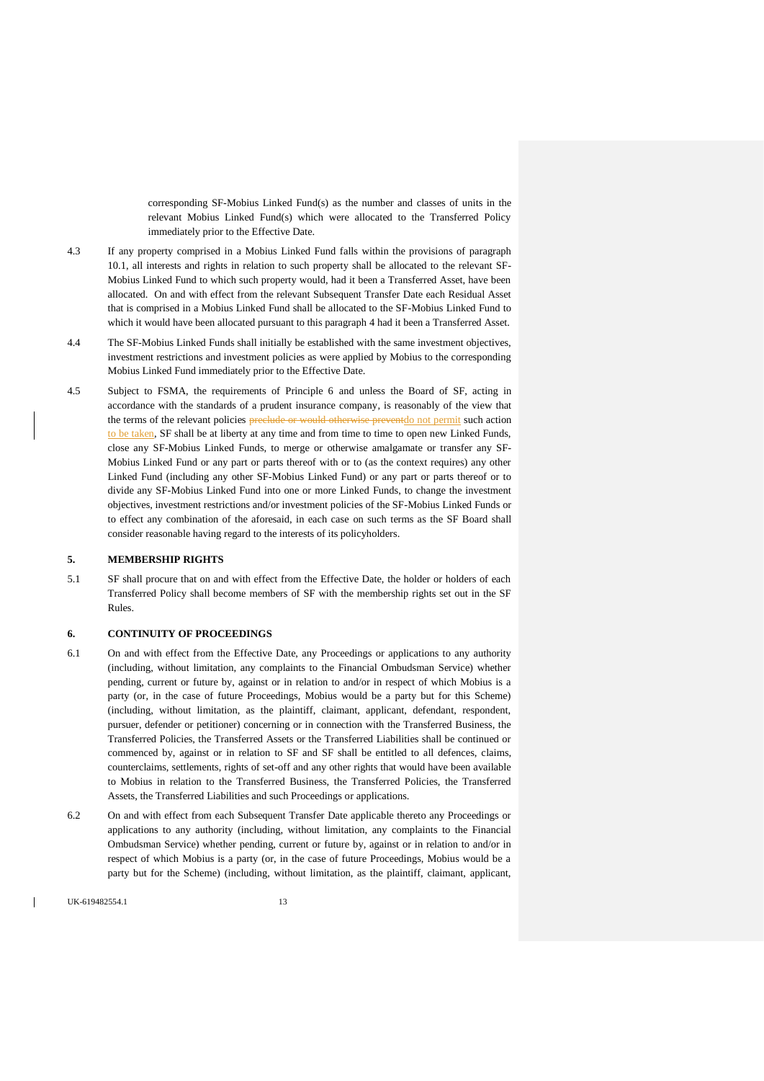corresponding SF-Mobius Linked Fund(s) as the number and classes of units in the relevant Mobius Linked Fund(s) which were allocated to the Transferred Policy immediately prior to the Effective Date.

- 4.3 If any property comprised in a Mobius Linked Fund falls within the provisions of paragraph [10.1,](#page-16-1) all interests and rights in relation to such property shall be allocated to the relevant SF-Mobius Linked Fund to which such property would, had it been a Transferred Asset, have been allocated. On and with effect from the relevant Subsequent Transfer Date each Residual Asset that is comprised in a Mobius Linked Fund shall be allocated to the SF-Mobius Linked Fund to which it would have been allocated pursuant to this paragraph [4](#page-11-0) had it been a Transferred Asset.
- 4.4 The SF-Mobius Linked Funds shall initially be established with the same investment objectives, investment restrictions and investment policies as were applied by Mobius to the corresponding Mobius Linked Fund immediately prior to the Effective Date.
- 4.5 Subject to FSMA, the requirements of Principle 6 and unless the Board of SF, acting in accordance with the standards of a prudent insurance company, is reasonably of the view that the terms of the relevant policies preclude or would otherwise preventdo not permit such action to be taken, SF shall be at liberty at any time and from time to time to open new Linked Funds, close any SF-Mobius Linked Funds, to merge or otherwise amalgamate or transfer any SF-Mobius Linked Fund or any part or parts thereof with or to (as the context requires) any other Linked Fund (including any other SF-Mobius Linked Fund) or any part or parts thereof or to divide any SF-Mobius Linked Fund into one or more Linked Funds, to change the investment objectives, investment restrictions and/or investment policies of the SF-Mobius Linked Funds or to effect any combination of the aforesaid, in each case on such terms as the SF Board shall consider reasonable having regard to the interests of its policyholders.

### **5. MEMBERSHIP RIGHTS**

5.1 SF shall procure that on and with effect from the Effective Date, the holder or holders of each Transferred Policy shall become members of SF with the membership rights set out in the SF Rules.

#### **6. CONTINUITY OF PROCEEDINGS**

- 6.1 On and with effect from the Effective Date, any Proceedings or applications to any authority (including, without limitation, any complaints to the Financial Ombudsman Service) whether pending, current or future by, against or in relation to and/or in respect of which Mobius is a party (or, in the case of future Proceedings, Mobius would be a party but for this Scheme) (including, without limitation, as the plaintiff, claimant, applicant, defendant, respondent, pursuer, defender or petitioner) concerning or in connection with the Transferred Business, the Transferred Policies, the Transferred Assets or the Transferred Liabilities shall be continued or commenced by, against or in relation to SF and SF shall be entitled to all defences, claims, counterclaims, settlements, rights of set-off and any other rights that would have been available to Mobius in relation to the Transferred Business, the Transferred Policies, the Transferred Assets, the Transferred Liabilities and such Proceedings or applications.
- 6.2 On and with effect from each Subsequent Transfer Date applicable thereto any Proceedings or applications to any authority (including, without limitation, any complaints to the Financial Ombudsman Service) whether pending, current or future by, against or in relation to and/or in respect of which Mobius is a party (or, in the case of future Proceedings, Mobius would be a party but for the Scheme) (including, without limitation, as the plaintiff, claimant, applicant,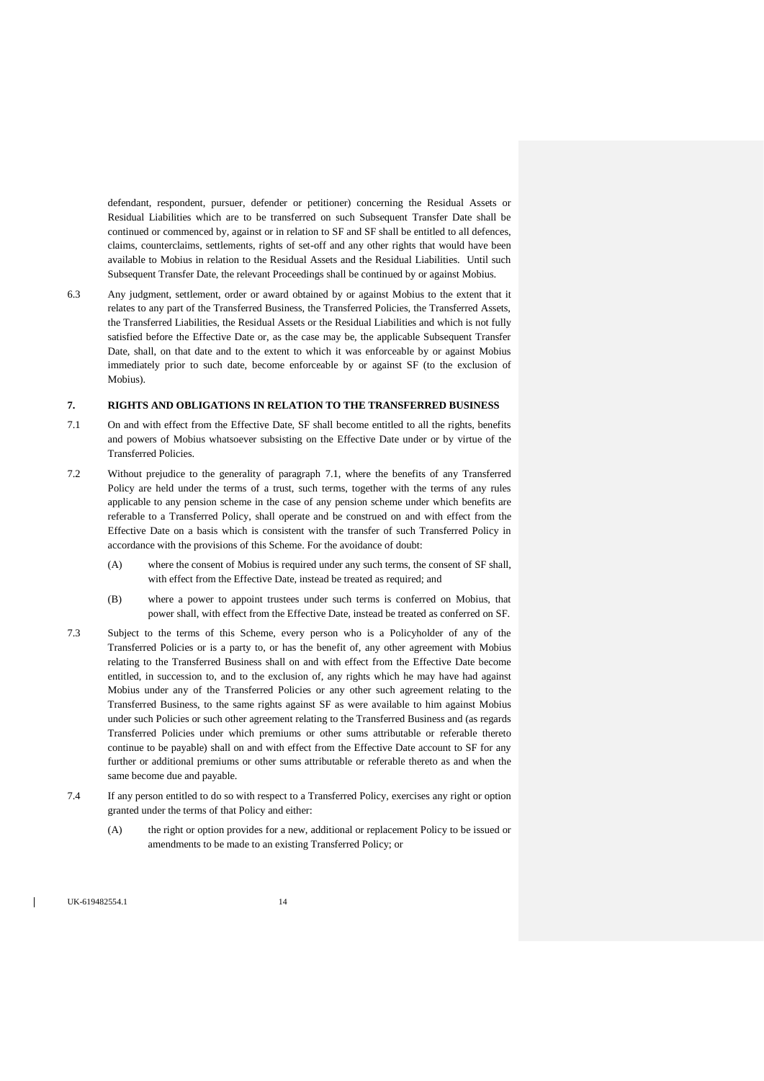defendant, respondent, pursuer, defender or petitioner) concerning the Residual Assets or Residual Liabilities which are to be transferred on such Subsequent Transfer Date shall be continued or commenced by, against or in relation to SF and SF shall be entitled to all defences, claims, counterclaims, settlements, rights of set-off and any other rights that would have been available to Mobius in relation to the Residual Assets and the Residual Liabilities. Until such Subsequent Transfer Date, the relevant Proceedings shall be continued by or against Mobius.

6.3 Any judgment, settlement, order or award obtained by or against Mobius to the extent that it relates to any part of the Transferred Business, the Transferred Policies, the Transferred Assets, the Transferred Liabilities, the Residual Assets or the Residual Liabilities and which is not fully satisfied before the Effective Date or, as the case may be, the applicable Subsequent Transfer Date, shall, on that date and to the extent to which it was enforceable by or against Mobius immediately prior to such date, become enforceable by or against SF (to the exclusion of Mobius).

### **7. RIGHTS AND OBLIGATIONS IN RELATION TO THE TRANSFERRED BUSINESS**

- <span id="page-13-0"></span>7.1 On and with effect from the Effective Date, SF shall become entitled to all the rights, benefits and powers of Mobius whatsoever subsisting on the Effective Date under or by virtue of the Transferred Policies.
- 7.2 Without prejudice to the generality of paragraph [7.1,](#page-13-0) where the benefits of any Transferred Policy are held under the terms of a trust, such terms, together with the terms of any rules applicable to any pension scheme in the case of any pension scheme under which benefits are referable to a Transferred Policy, shall operate and be construed on and with effect from the Effective Date on a basis which is consistent with the transfer of such Transferred Policy in accordance with the provisions of this Scheme. For the avoidance of doubt:
	- (A) where the consent of Mobius is required under any such terms, the consent of SF shall, with effect from the Effective Date, instead be treated as required; and
	- (B) where a power to appoint trustees under such terms is conferred on Mobius, that power shall, with effect from the Effective Date, instead be treated as conferred on SF.
- 7.3 Subject to the terms of this Scheme, every person who is a Policyholder of any of the Transferred Policies or is a party to, or has the benefit of, any other agreement with Mobius relating to the Transferred Business shall on and with effect from the Effective Date become entitled, in succession to, and to the exclusion of, any rights which he may have had against Mobius under any of the Transferred Policies or any other such agreement relating to the Transferred Business, to the same rights against SF as were available to him against Mobius under such Policies or such other agreement relating to the Transferred Business and (as regards Transferred Policies under which premiums or other sums attributable or referable thereto continue to be payable) shall on and with effect from the Effective Date account to SF for any further or additional premiums or other sums attributable or referable thereto as and when the same become due and payable.
- <span id="page-13-1"></span>7.4 If any person entitled to do so with respect to a Transferred Policy, exercises any right or option granted under the terms of that Policy and either:
	- (A) the right or option provides for a new, additional or replacement Policy to be issued or amendments to be made to an existing Transferred Policy; or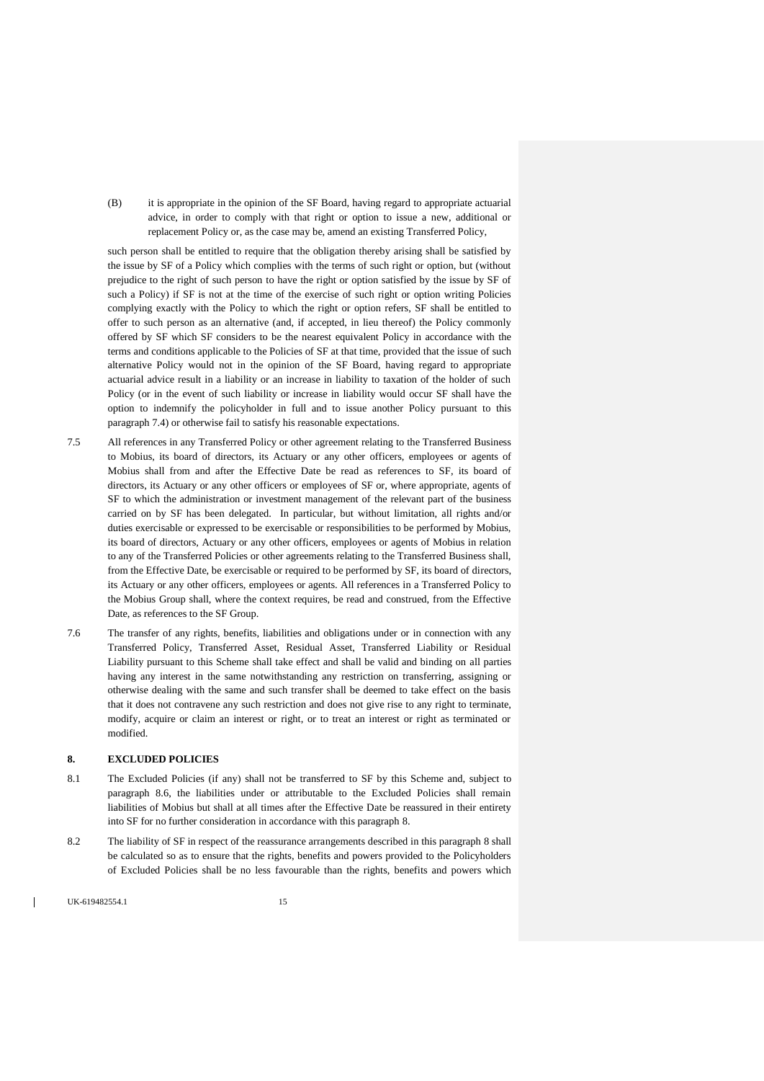(B) it is appropriate in the opinion of the SF Board, having regard to appropriate actuarial advice, in order to comply with that right or option to issue a new, additional or replacement Policy or, as the case may be, amend an existing Transferred Policy,

such person shall be entitled to require that the obligation thereby arising shall be satisfied by the issue by SF of a Policy which complies with the terms of such right or option, but (without prejudice to the right of such person to have the right or option satisfied by the issue by SF of such a Policy) if SF is not at the time of the exercise of such right or option writing Policies complying exactly with the Policy to which the right or option refers, SF shall be entitled to offer to such person as an alternative (and, if accepted, in lieu thereof) the Policy commonly offered by SF which SF considers to be the nearest equivalent Policy in accordance with the terms and conditions applicable to the Policies of SF at that time, provided that the issue of such alternative Policy would not in the opinion of the SF Board, having regard to appropriate actuarial advice result in a liability or an increase in liability to taxation of the holder of such Policy (or in the event of such liability or increase in liability would occur SF shall have the option to indemnify the policyholder in full and to issue another Policy pursuant to this paragraph [7.4\)](#page-13-1) or otherwise fail to satisfy his reasonable expectations.

- 7.5 All references in any Transferred Policy or other agreement relating to the Transferred Business to Mobius, its board of directors, its Actuary or any other officers, employees or agents of Mobius shall from and after the Effective Date be read as references to SF, its board of directors, its Actuary or any other officers or employees of SF or, where appropriate, agents of SF to which the administration or investment management of the relevant part of the business carried on by SF has been delegated. In particular, but without limitation, all rights and/or duties exercisable or expressed to be exercisable or responsibilities to be performed by Mobius, its board of directors, Actuary or any other officers, employees or agents of Mobius in relation to any of the Transferred Policies or other agreements relating to the Transferred Business shall, from the Effective Date, be exercisable or required to be performed by SF, its board of directors, its Actuary or any other officers, employees or agents. All references in a Transferred Policy to the Mobius Group shall, where the context requires, be read and construed, from the Effective Date, as references to the SF Group.
- 7.6 The transfer of any rights, benefits, liabilities and obligations under or in connection with any Transferred Policy, Transferred Asset, Residual Asset, Transferred Liability or Residual Liability pursuant to this Scheme shall take effect and shall be valid and binding on all parties having any interest in the same notwithstanding any restriction on transferring, assigning or otherwise dealing with the same and such transfer shall be deemed to take effect on the basis that it does not contravene any such restriction and does not give rise to any right to terminate, modify, acquire or claim an interest or right, or to treat an interest or right as terminated or modified.

## <span id="page-14-0"></span>**8. EXCLUDED POLICIES**

- 8.1 The Excluded Policies (if any) shall not be transferred to SF by this Scheme and, subject to paragraph [8.6,](#page-15-0) the liabilities under or attributable to the Excluded Policies shall remain liabilities of Mobius but shall at all times after the Effective Date be reassured in their entirety into SF for no further consideration in accordance with this paragrap[h 8.](#page-14-0)
- 8.2 The liability of SF in respect of the reassurance arrangements described in this paragraph [8](#page-14-0) shall be calculated so as to ensure that the rights, benefits and powers provided to the Policyholders of Excluded Policies shall be no less favourable than the rights, benefits and powers which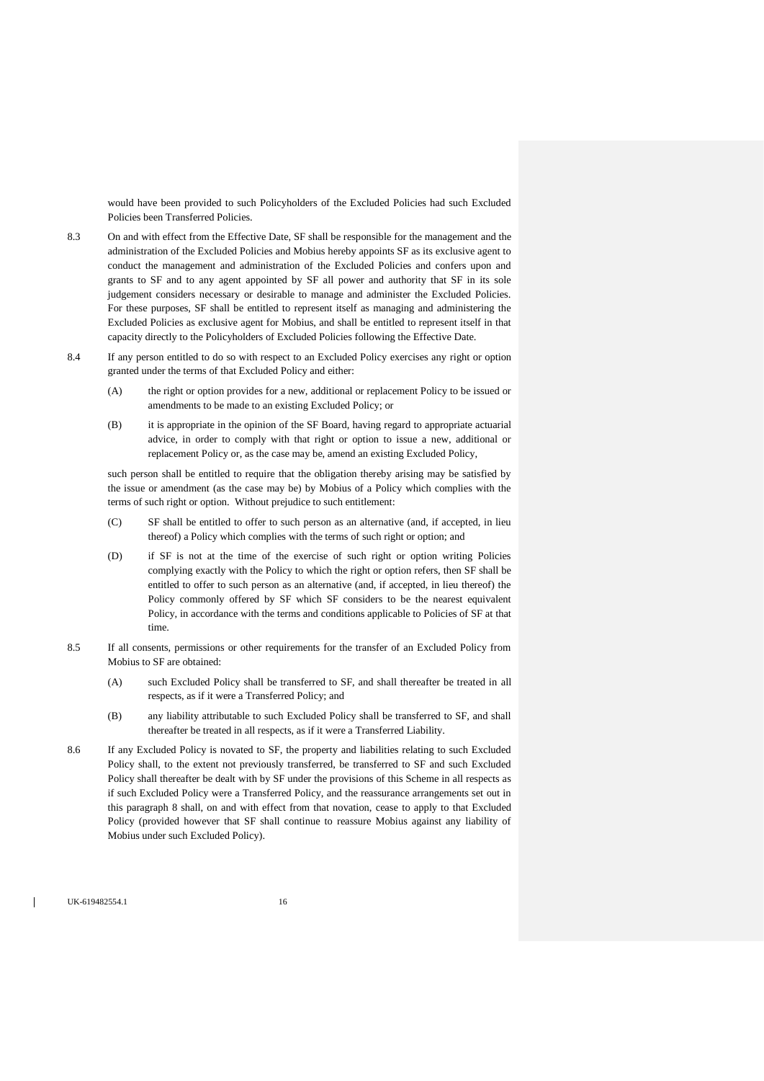would have been provided to such Policyholders of the Excluded Policies had such Excluded Policies been Transferred Policies.

- 8.3 On and with effect from the Effective Date, SF shall be responsible for the management and the administration of the Excluded Policies and Mobius hereby appoints SF as its exclusive agent to conduct the management and administration of the Excluded Policies and confers upon and grants to SF and to any agent appointed by SF all power and authority that SF in its sole judgement considers necessary or desirable to manage and administer the Excluded Policies. For these purposes, SF shall be entitled to represent itself as managing and administering the Excluded Policies as exclusive agent for Mobius, and shall be entitled to represent itself in that capacity directly to the Policyholders of Excluded Policies following the Effective Date.
- 8.4 If any person entitled to do so with respect to an Excluded Policy exercises any right or option granted under the terms of that Excluded Policy and either:
	- (A) the right or option provides for a new, additional or replacement Policy to be issued or amendments to be made to an existing Excluded Policy; or
	- (B) it is appropriate in the opinion of the SF Board, having regard to appropriate actuarial advice, in order to comply with that right or option to issue a new, additional or replacement Policy or, as the case may be, amend an existing Excluded Policy,

such person shall be entitled to require that the obligation thereby arising may be satisfied by the issue or amendment (as the case may be) by Mobius of a Policy which complies with the terms of such right or option. Without prejudice to such entitlement:

- (C) SF shall be entitled to offer to such person as an alternative (and, if accepted, in lieu thereof) a Policy which complies with the terms of such right or option; and
- (D) if SF is not at the time of the exercise of such right or option writing Policies complying exactly with the Policy to which the right or option refers, then SF shall be entitled to offer to such person as an alternative (and, if accepted, in lieu thereof) the Policy commonly offered by SF which SF considers to be the nearest equivalent Policy, in accordance with the terms and conditions applicable to Policies of SF at that time.
- 8.5 If all consents, permissions or other requirements for the transfer of an Excluded Policy from Mobius to SF are obtained:
	- (A) such Excluded Policy shall be transferred to SF, and shall thereafter be treated in all respects, as if it were a Transferred Policy; and
	- (B) any liability attributable to such Excluded Policy shall be transferred to SF, and shall thereafter be treated in all respects, as if it were a Transferred Liability.
- <span id="page-15-0"></span>8.6 If any Excluded Policy is novated to SF, the property and liabilities relating to such Excluded Policy shall, to the extent not previously transferred, be transferred to SF and such Excluded Policy shall thereafter be dealt with by SF under the provisions of this Scheme in all respects as if such Excluded Policy were a Transferred Policy, and the reassurance arrangements set out in this paragraph [8](#page-14-0) shall, on and with effect from that novation, cease to apply to that Excluded Policy (provided however that SF shall continue to reassure Mobius against any liability of Mobius under such Excluded Policy).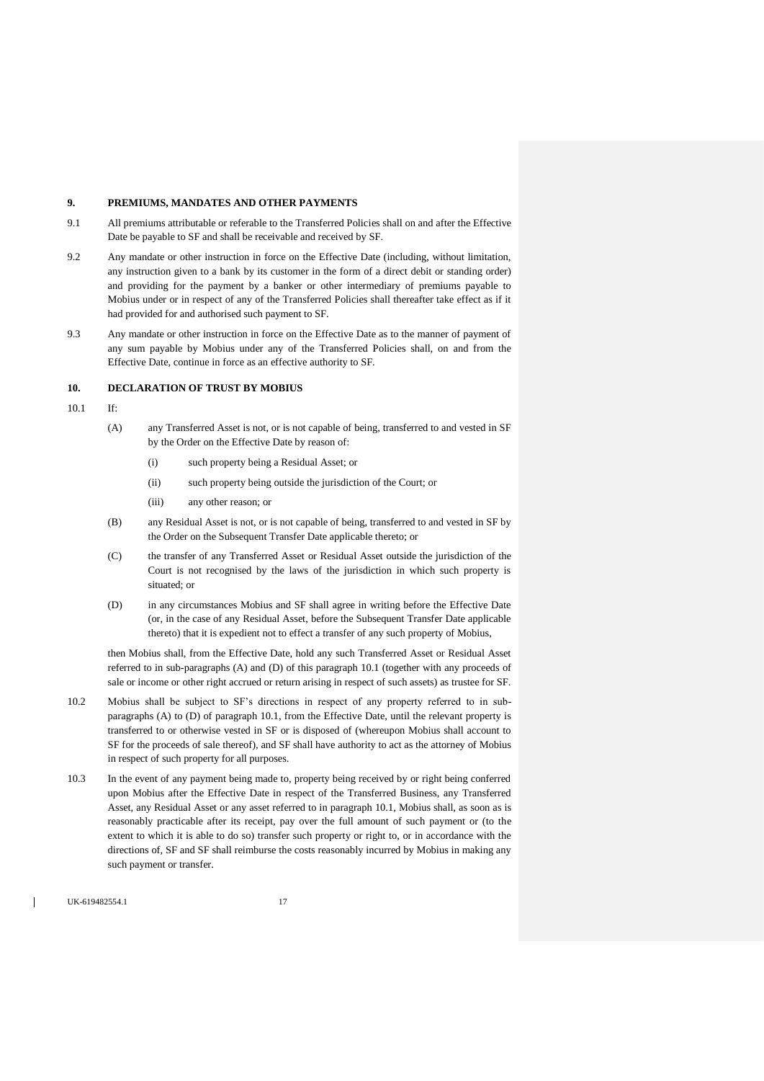### **9. PREMIUMS, MANDATES AND OTHER PAYMENTS**

- 9.1 All premiums attributable or referable to the Transferred Policies shall on and after the Effective Date be payable to SF and shall be receivable and received by SF.
- 9.2 Any mandate or other instruction in force on the Effective Date (including, without limitation, any instruction given to a bank by its customer in the form of a direct debit or standing order) and providing for the payment by a banker or other intermediary of premiums payable to Mobius under or in respect of any of the Transferred Policies shall thereafter take effect as if it had provided for and authorised such payment to SF.
- <span id="page-16-0"></span>9.3 Any mandate or other instruction in force on the Effective Date as to the manner of payment of any sum payable by Mobius under any of the Transferred Policies shall, on and from the Effective Date, continue in force as an effective authority to SF.

### **10. DECLARATION OF TRUST BY MOBIUS**

- <span id="page-16-2"></span><span id="page-16-1"></span>10.1 If:
	- (A) any Transferred Asset is not, or is not capable of being, transferred to and vested in SF by the Order on the Effective Date by reason of:
		- (i) such property being a Residual Asset; or
		- (ii) such property being outside the jurisdiction of the Court; or
		- (iii) any other reason; or
	- (B) any Residual Asset is not, or is not capable of being, transferred to and vested in SF by the Order on the Subsequent Transfer Date applicable thereto; or
	- (C) the transfer of any Transferred Asset or Residual Asset outside the jurisdiction of the Court is not recognised by the laws of the jurisdiction in which such property is situated; or
	- (D) in any circumstances Mobius and SF shall agree in writing before the Effective Date (or, in the case of any Residual Asset, before the Subsequent Transfer Date applicable thereto) that it is expedient not to effect a transfer of any such property of Mobius,

<span id="page-16-3"></span>then Mobius shall, from the Effective Date, hold any such Transferred Asset or Residual Asset referred to in sub-paragraphs [\(A\)](#page-16-2) an[d \(D\)](#page-16-3) of this paragraph [10.1](#page-16-1) (together with any proceeds of sale or income or other right accrued or return arising in respect of such assets) as trustee for SF.

- <span id="page-16-4"></span>10.2 Mobius shall be subject to SF's directions in respect of any property referred to in subparagraphs [\(A\)](#page-16-2) to [\(D\)](#page-16-3) of paragraph [10.1,](#page-16-1) from the Effective Date, until the relevant property is transferred to or otherwise vested in SF or is disposed of (whereupon Mobius shall account to SF for the proceeds of sale thereof), and SF shall have authority to act as the attorney of Mobius in respect of such property for all purposes.
- 10.3 In the event of any payment being made to, property being received by or right being conferred upon Mobius after the Effective Date in respect of the Transferred Business, any Transferred Asset, any Residual Asset or any asset referred to in paragrap[h 10.1,](#page-16-1) Mobius shall, as soon as is reasonably practicable after its receipt, pay over the full amount of such payment or (to the extent to which it is able to do so) transfer such property or right to, or in accordance with the directions of, SF and SF shall reimburse the costs reasonably incurred by Mobius in making any such payment or transfer.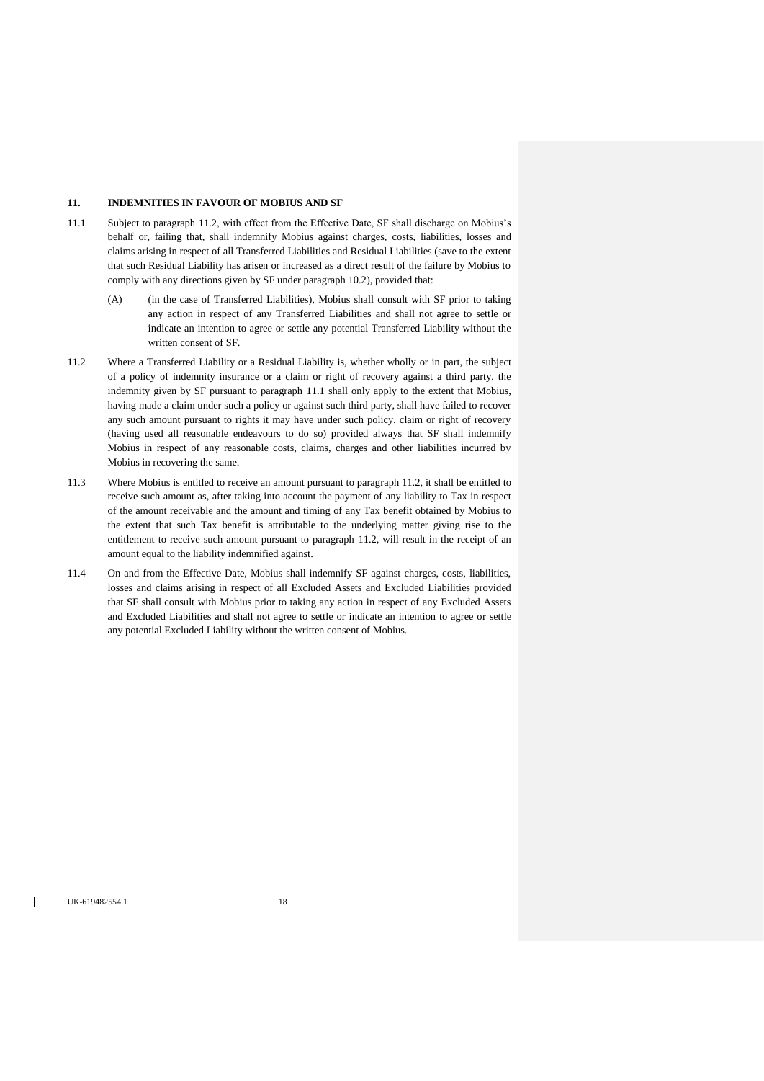## **11. INDEMNITIES IN FAVOUR OF MOBIUS AND SF**

- <span id="page-17-1"></span>11.1 Subject to paragraph [11.2,](#page-17-0) with effect from the Effective Date, SF shall discharge on Mobius's behalf or, failing that, shall indemnify Mobius against charges, costs, liabilities, losses and claims arising in respect of all Transferred Liabilities and Residual Liabilities (save to the extent that such Residual Liability has arisen or increased as a direct result of the failure by Mobius to comply with any directions given by SF under paragrap[h 10.2\)](#page-16-4), provided that:
	- (A) (in the case of Transferred Liabilities), Mobius shall consult with SF prior to taking any action in respect of any Transferred Liabilities and shall not agree to settle or indicate an intention to agree or settle any potential Transferred Liability without the written consent of SF.
- <span id="page-17-0"></span>11.2 Where a Transferred Liability or a Residual Liability is, whether wholly or in part, the subject of a policy of indemnity insurance or a claim or right of recovery against a third party, the indemnity given by SF pursuant to paragraph [11.1](#page-17-1) shall only apply to the extent that Mobius, having made a claim under such a policy or against such third party, shall have failed to recover any such amount pursuant to rights it may have under such policy, claim or right of recovery (having used all reasonable endeavours to do so) provided always that SF shall indemnify Mobius in respect of any reasonable costs, claims, charges and other liabilities incurred by Mobius in recovering the same.
- 11.3 Where Mobius is entitled to receive an amount pursuant to paragrap[h 11.2,](#page-17-0) it shall be entitled to receive such amount as, after taking into account the payment of any liability to Tax in respect of the amount receivable and the amount and timing of any Tax benefit obtained by Mobius to the extent that such Tax benefit is attributable to the underlying matter giving rise to the entitlement to receive such amount pursuant to paragraph [11.2,](#page-17-0) will result in the receipt of an amount equal to the liability indemnified against.
- 11.4 On and from the Effective Date, Mobius shall indemnify SF against charges, costs, liabilities, losses and claims arising in respect of all Excluded Assets and Excluded Liabilities provided that SF shall consult with Mobius prior to taking any action in respect of any Excluded Assets and Excluded Liabilities and shall not agree to settle or indicate an intention to agree or settle any potential Excluded Liability without the written consent of Mobius.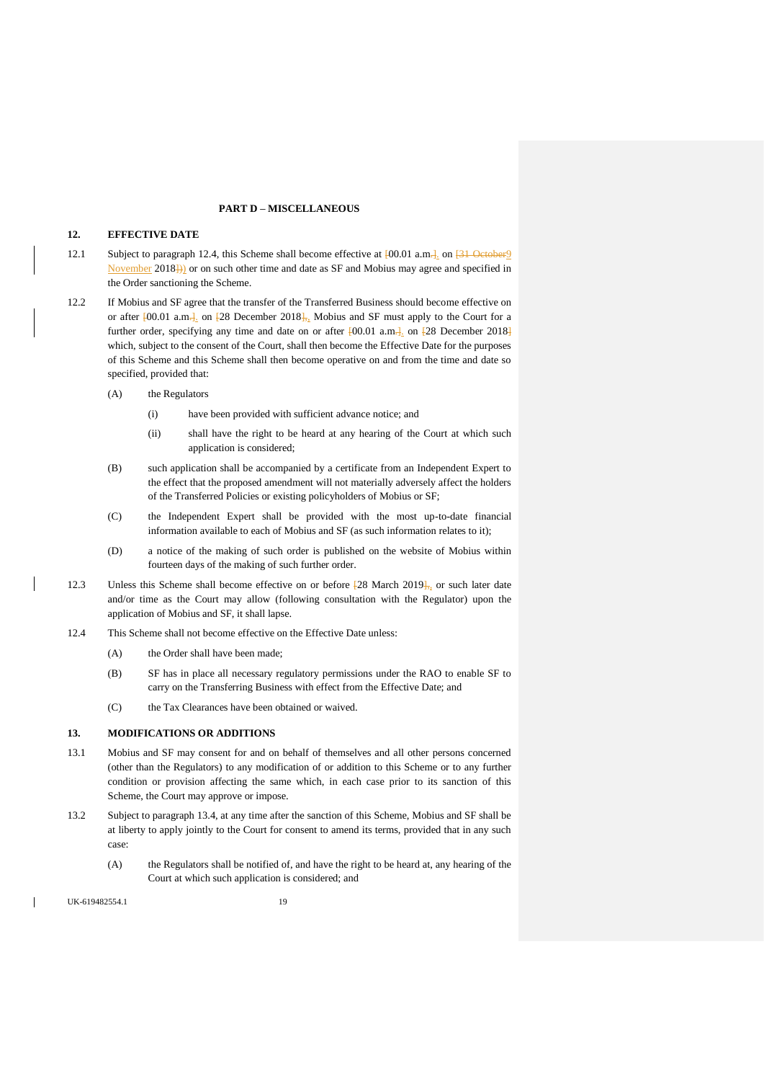### **PART D – MISCELLANEOUS**

## <span id="page-18-0"></span>**12. EFFECTIVE DATE**

- 12.1 Subject to paragraph [12.4,](#page-18-2) this Scheme shall become effective at  $[00.01 \text{ a.m.}]$  on  $[31 \text{ October}]$ November 2018])) or on such other time and date as SF and Mobius may agree and specified in the Order sanctioning the Scheme.
- 12.2 If Mobius and SF agree that the transfer of the Transferred Business should become effective on or after  $[00.01 \text{ a.m.}]$  on  $[28 \text{ December } 2018]$ , Mobius and SF must apply to the Court for a further order, specifying any time and date on or after  $[00.01 \text{ a.m.}]$  on  $[28 \text{ December } 2018]$ which, subject to the consent of the Court, shall then become the Effective Date for the purposes of this Scheme and this Scheme shall then become operative on and from the time and date so specified, provided that:
	- (A) the Regulators
		- (i) have been provided with sufficient advance notice; and
		- (ii) shall have the right to be heard at any hearing of the Court at which such application is considered;
	- (B) such application shall be accompanied by a certificate from an Independent Expert to the effect that the proposed amendment will not materially adversely affect the holders of the Transferred Policies or existing policyholders of Mobius or SF;
	- (C) the Independent Expert shall be provided with the most up-to-date financial information available to each of Mobius and SF (as such information relates to it);
	- (D) a notice of the making of such order is published on the website of Mobius within fourteen days of the making of such further order.
- 12.3 Unless this Scheme shall become effective on or before  $\frac{128}{28}$  March 2019<sup>1</sup>, or such later date and/or time as the Court may allow (following consultation with the Regulator) upon the application of Mobius and SF, it shall lapse.
- <span id="page-18-2"></span>12.4 This Scheme shall not become effective on the Effective Date unless:
	- (A) the Order shall have been made;
	- (B) SF has in place all necessary regulatory permissions under the RAO to enable SF to carry on the Transferring Business with effect from the Effective Date; and
	- (C) the Tax Clearances have been obtained or waived.

## <span id="page-18-1"></span>**13. MODIFICATIONS OR ADDITIONS**

- 13.1 Mobius and SF may consent for and on behalf of themselves and all other persons concerned (other than the Regulators) to any modification of or addition to this Scheme or to any further condition or provision affecting the same which, in each case prior to its sanction of this Scheme, the Court may approve or impose.
- 13.2 Subject to paragraph [13.4,](#page-19-0) at any time after the sanction of this Scheme, Mobius and SF shall be at liberty to apply jointly to the Court for consent to amend its terms, provided that in any such case:
	- (A) the Regulators shall be notified of, and have the right to be heard at, any hearing of the Court at which such application is considered; and

UK-619482554.1 19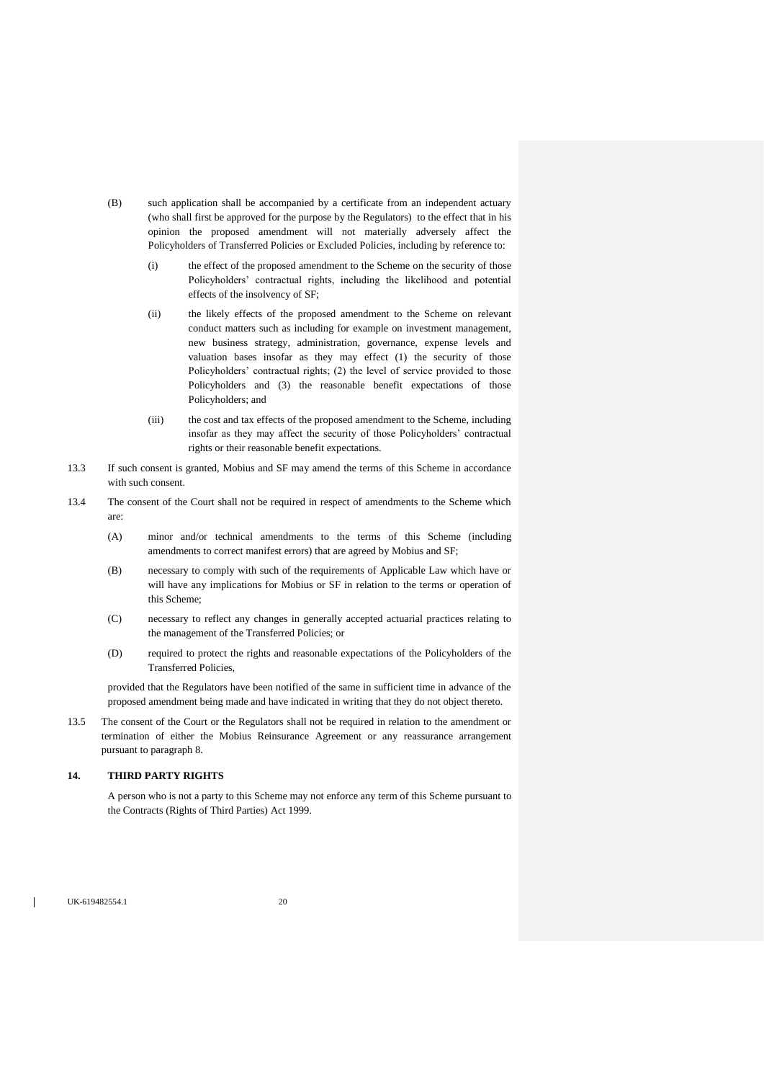- (B) such application shall be accompanied by a certificate from an independent actuary (who shall first be approved for the purpose by the Regulators) to the effect that in his opinion the proposed amendment will not materially adversely affect the Policyholders of Transferred Policies or Excluded Policies, including by reference to:
	- (i) the effect of the proposed amendment to the Scheme on the security of those Policyholders' contractual rights, including the likelihood and potential effects of the insolvency of SF;
	- (ii) the likely effects of the proposed amendment to the Scheme on relevant conduct matters such as including for example on investment management, new business strategy, administration, governance, expense levels and valuation bases insofar as they may effect (1) the security of those Policyholders' contractual rights; (2) the level of service provided to those Policyholders and (3) the reasonable benefit expectations of those Policyholders; and
	- (iii) the cost and tax effects of the proposed amendment to the Scheme, including insofar as they may affect the security of those Policyholders' contractual rights or their reasonable benefit expectations.
- 13.3 If such consent is granted, Mobius and SF may amend the terms of this Scheme in accordance with such consent.
- <span id="page-19-0"></span>13.4 The consent of the Court shall not be required in respect of amendments to the Scheme which are:
	- (A) minor and/or technical amendments to the terms of this Scheme (including amendments to correct manifest errors) that are agreed by Mobius and SF;
	- (B) necessary to comply with such of the requirements of Applicable Law which have or will have any implications for Mobius or SF in relation to the terms or operation of this Scheme;
	- (C) necessary to reflect any changes in generally accepted actuarial practices relating to the management of the Transferred Policies; or
	- (D) required to protect the rights and reasonable expectations of the Policyholders of the Transferred Policies,

provided that the Regulators have been notified of the same in sufficient time in advance of the proposed amendment being made and have indicated in writing that they do not object thereto.

13.5 The consent of the Court or the Regulators shall not be required in relation to the amendment or termination of either the Mobius Reinsurance Agreement or any reassurance arrangement pursuant to paragraph 8.

## **14. THIRD PARTY RIGHTS**

A person who is not a party to this Scheme may not enforce any term of this Scheme pursuant to the Contracts (Rights of Third Parties) Act 1999.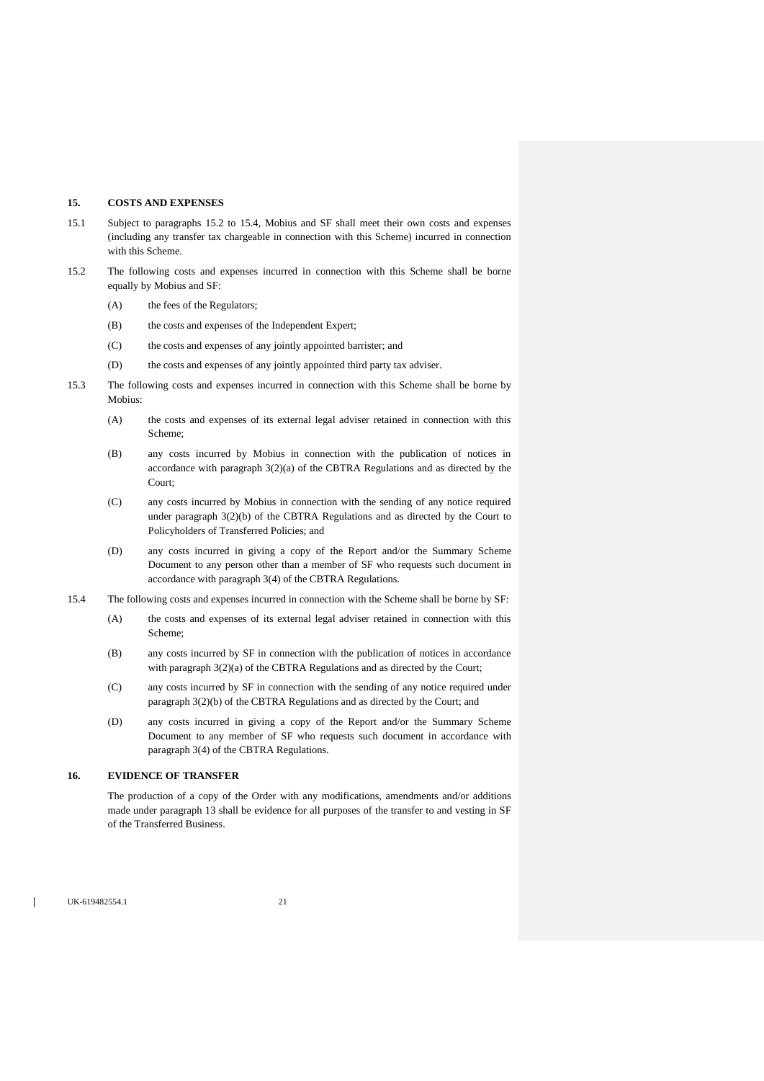## **15. COSTS AND EXPENSES**

- 15.1 Subject to paragraphs [15.2](#page-20-0) to [15.4,](#page-20-1) Mobius and SF shall meet their own costs and expenses (including any transfer tax chargeable in connection with this Scheme) incurred in connection with this Scheme.
- <span id="page-20-0"></span>15.2 The following costs and expenses incurred in connection with this Scheme shall be borne equally by Mobius and SF:
	- (A) the fees of the Regulators;
	- (B) the costs and expenses of the Independent Expert;
	- (C) the costs and expenses of any jointly appointed barrister; and
	- (D) the costs and expenses of any jointly appointed third party tax adviser.
- 15.3 The following costs and expenses incurred in connection with this Scheme shall be borne by Mobius:
	- (A) the costs and expenses of its external legal adviser retained in connection with this Scheme;
	- (B) any costs incurred by Mobius in connection with the publication of notices in accordance with paragraph 3(2)(a) of the CBTRA Regulations and as directed by the Court;
	- (C) any costs incurred by Mobius in connection with the sending of any notice required under paragraph 3(2)(b) of the CBTRA Regulations and as directed by the Court to Policyholders of Transferred Policies; and
	- (D) any costs incurred in giving a copy of the Report and/or the Summary Scheme Document to any person other than a member of SF who requests such document in accordance with paragraph 3(4) of the CBTRA Regulations.
- <span id="page-20-1"></span>15.4 The following costs and expenses incurred in connection with the Scheme shall be borne by SF:
	- (A) the costs and expenses of its external legal adviser retained in connection with this Scheme;
	- (B) any costs incurred by SF in connection with the publication of notices in accordance with paragraph  $3(2)(a)$  of the CBTRA Regulations and as directed by the Court;
	- (C) any costs incurred by SF in connection with the sending of any notice required under paragraph 3(2)(b) of the CBTRA Regulations and as directed by the Court; and
	- (D) any costs incurred in giving a copy of the Report and/or the Summary Scheme Document to any member of SF who requests such document in accordance with paragraph 3(4) of the CBTRA Regulations.

### **16. EVIDENCE OF TRANSFER**

The production of a copy of the Order with any modifications, amendments and/or additions made under paragraph [13](#page-18-1) shall be evidence for all purposes of the transfer to and vesting in SF of the Transferred Business.